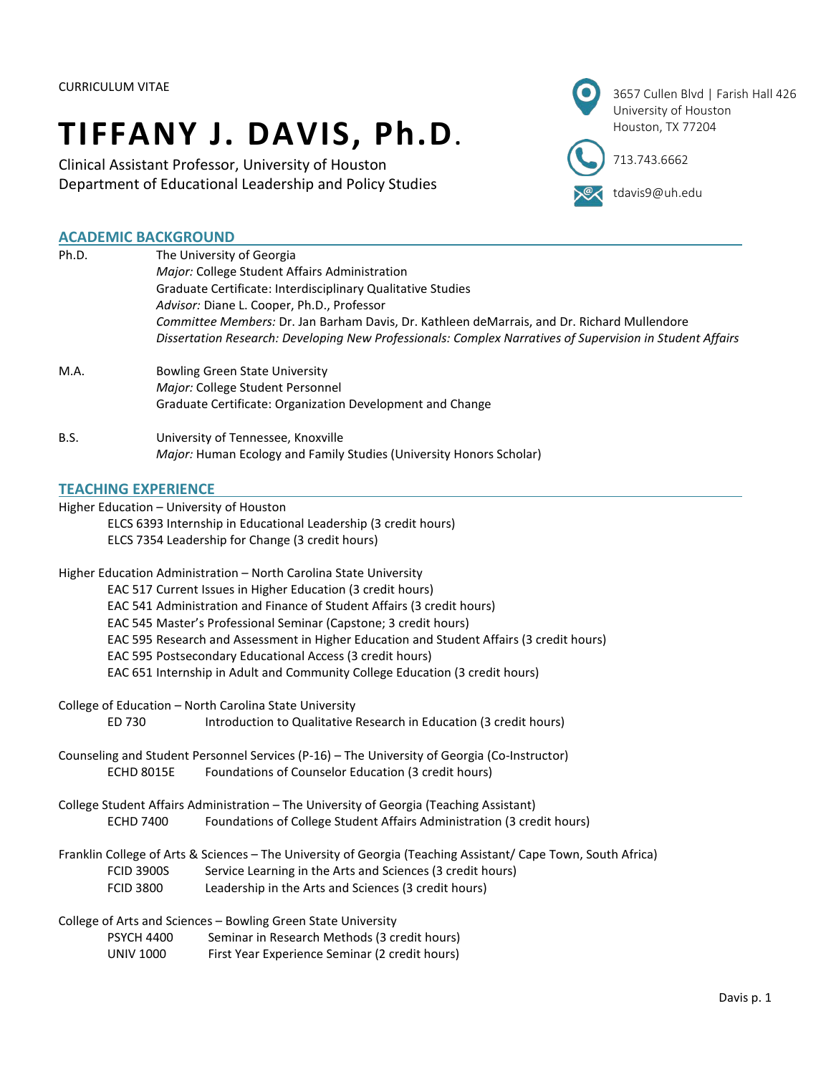# **TIFFANY J. DAVIS, Ph.D.**

Clinical Assistant Professor, University of Houston Department of Educational Leadership and Policy Studies



**ex** tdavis9@uh.edu

# **ACADEMIC BACKGROUND**

| Ph.D.                                                       | The University of Georgia                                                                                     |  |
|-------------------------------------------------------------|---------------------------------------------------------------------------------------------------------------|--|
|                                                             | Major: College Student Affairs Administration                                                                 |  |
|                                                             | Graduate Certificate: Interdisciplinary Qualitative Studies                                                   |  |
|                                                             | Advisor: Diane L. Cooper, Ph.D., Professor                                                                    |  |
|                                                             | Committee Members: Dr. Jan Barham Davis, Dr. Kathleen deMarrais, and Dr. Richard Mullendore                   |  |
|                                                             | Dissertation Research: Developing New Professionals: Complex Narratives of Supervision in Student Affairs     |  |
| M.A.                                                        | <b>Bowling Green State University</b>                                                                         |  |
|                                                             | Major: College Student Personnel                                                                              |  |
|                                                             | Graduate Certificate: Organization Development and Change                                                     |  |
| <b>B.S.</b>                                                 | University of Tennessee, Knoxville                                                                            |  |
|                                                             | Major: Human Ecology and Family Studies (University Honors Scholar)                                           |  |
| <b>TEACHING EXPERIENCE</b>                                  |                                                                                                               |  |
| Higher Education - University of Houston                    |                                                                                                               |  |
|                                                             | ELCS 6393 Internship in Educational Leadership (3 credit hours)                                               |  |
| ELCS 7354 Leadership for Change (3 credit hours)            |                                                                                                               |  |
|                                                             |                                                                                                               |  |
|                                                             | Higher Education Administration - North Carolina State University                                             |  |
| EAC 517 Current Issues in Higher Education (3 credit hours) |                                                                                                               |  |
|                                                             | EAC 541 Administration and Finance of Student Affairs (3 credit hours)                                        |  |
|                                                             | EAC 545 Master's Professional Seminar (Capstone; 3 credit hours)                                              |  |
|                                                             | EAC 595 Research and Assessment in Higher Education and Student Affairs (3 credit hours)                      |  |
|                                                             | EAC 595 Postsecondary Educational Access (3 credit hours)                                                     |  |
|                                                             | EAC 651 Internship in Adult and Community College Education (3 credit hours)                                  |  |
|                                                             | College of Education - North Carolina State University                                                        |  |
| ED 730                                                      | Introduction to Qualitative Research in Education (3 credit hours)                                            |  |
|                                                             | Counseling and Student Personnel Services (P-16) - The University of Georgia (Co-Instructor)                  |  |
| <b>ECHD 8015E</b>                                           | Foundations of Counselor Education (3 credit hours)                                                           |  |
|                                                             | College Student Affairs Administration - The University of Georgia (Teaching Assistant)                       |  |
| <b>ECHD 7400</b>                                            | Foundations of College Student Affairs Administration (3 credit hours)                                        |  |
|                                                             | Franklin College of Arts & Sciences - The University of Georgia (Teaching Assistant/ Cape Town, South Africa) |  |
| <b>FCID 3900S</b>                                           | Service Learning in the Arts and Sciences (3 credit hours)                                                    |  |
| <b>FCID 3800</b>                                            | Leadership in the Arts and Sciences (3 credit hours)                                                          |  |
|                                                             | College of Arts and Sciences - Bowling Green State University                                                 |  |
| <b>PSYCH 4400</b>                                           | Seminar in Research Methods (3 credit hours)                                                                  |  |
| <b>UNIV 1000</b>                                            | First Year Experience Seminar (2 credit hours)                                                                |  |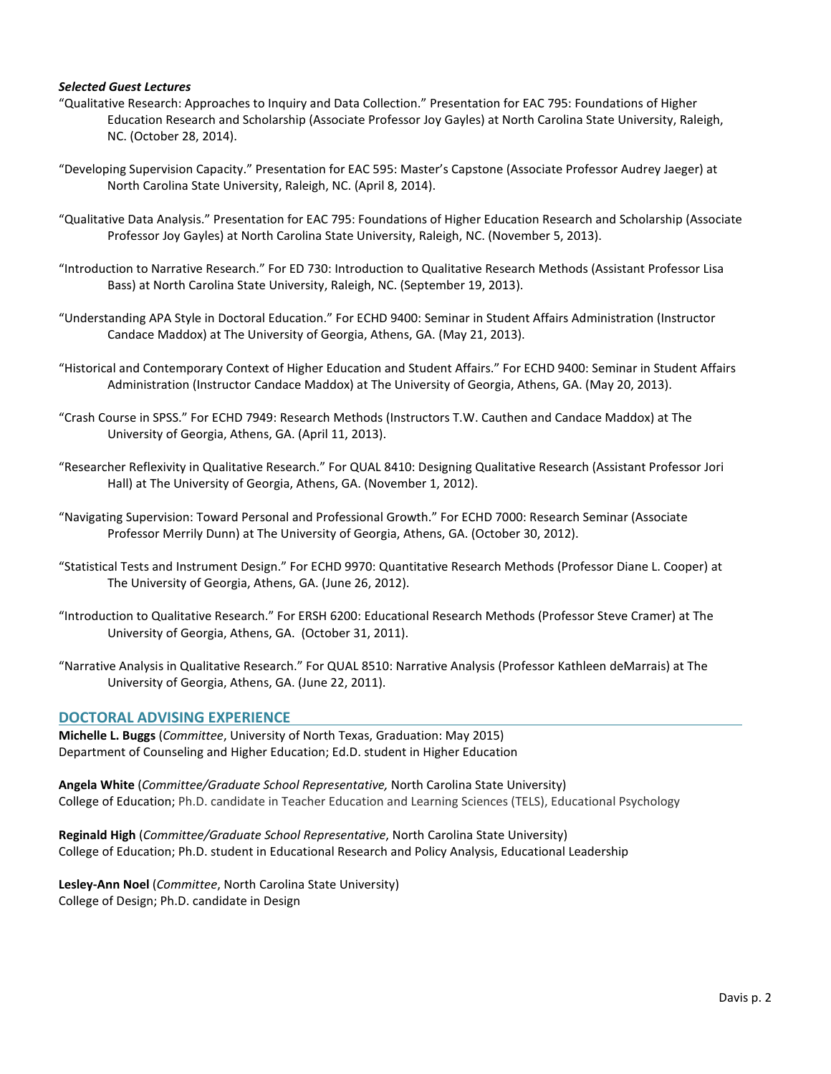# *Selected Guest Lectures*

- "Qualitative Research: Approaches to Inquiry and Data Collection." Presentation for EAC 795: Foundations of Higher Education Research and Scholarship (Associate Professor Joy Gayles) at North Carolina State University, Raleigh, NC. (October 28, 2014).
- "Developing Supervision Capacity." Presentation for EAC 595: Master's Capstone (Associate Professor Audrey Jaeger) at North Carolina State University, Raleigh, NC. (April 8, 2014).
- "Qualitative Data Analysis." Presentation for EAC 795: Foundations of Higher Education Research and Scholarship (Associate Professor Joy Gayles) at North Carolina State University, Raleigh, NC. (November 5, 2013).
- "Introduction to Narrative Research." For ED 730: Introduction to Qualitative Research Methods (Assistant Professor Lisa Bass) at North Carolina State University, Raleigh, NC. (September 19, 2013).
- "Understanding APA Style in Doctoral Education." For ECHD 9400: Seminar in Student Affairs Administration (Instructor Candace Maddox) at The University of Georgia, Athens, GA. (May 21, 2013).
- "Historical and Contemporary Context of Higher Education and Student Affairs." For ECHD 9400: Seminar in Student Affairs Administration (Instructor Candace Maddox) at The University of Georgia, Athens, GA. (May 20, 2013).
- "Crash Course in SPSS." For ECHD 7949: Research Methods (Instructors T.W. Cauthen and Candace Maddox) at The University of Georgia, Athens, GA. (April 11, 2013).
- "Researcher Reflexivity in Qualitative Research." For QUAL 8410: Designing Qualitative Research (Assistant Professor Jori Hall) at The University of Georgia, Athens, GA. (November 1, 2012).
- "Navigating Supervision: Toward Personal and Professional Growth." For ECHD 7000: Research Seminar (Associate Professor Merrily Dunn) at The University of Georgia, Athens, GA. (October 30, 2012).
- "Statistical Tests and Instrument Design." For ECHD 9970: Quantitative Research Methods (Professor Diane L. Cooper) at The University of Georgia, Athens, GA. (June 26, 2012).
- "Introduction to Qualitative Research." For ERSH 6200: Educational Research Methods (Professor Steve Cramer) at The University of Georgia, Athens, GA. (October 31, 2011).
- "Narrative Analysis in Qualitative Research." For QUAL 8510: Narrative Analysis (Professor Kathleen deMarrais) at The University of Georgia, Athens, GA. (June 22, 2011).

#### **DOCTORAL ADVISING EXPERIENCE**

**Michelle L. Buggs** (*Committee*, University of North Texas, Graduation: May 2015) Department of Counseling and Higher Education; Ed.D. student in Higher Education

**Angela White** (*Committee/Graduate School Representative,* North Carolina State University) College of Education; Ph.D. candidate in Teacher Education and Learning Sciences (TELS), Educational Psychology

**Reginald High** (*Committee/Graduate School Representative*, North Carolina State University) College of Education; Ph.D. student in Educational Research and Policy Analysis, Educational Leadership

**Lesley-Ann Noel** (*Committee*, North Carolina State University) College of Design; Ph.D. candidate in Design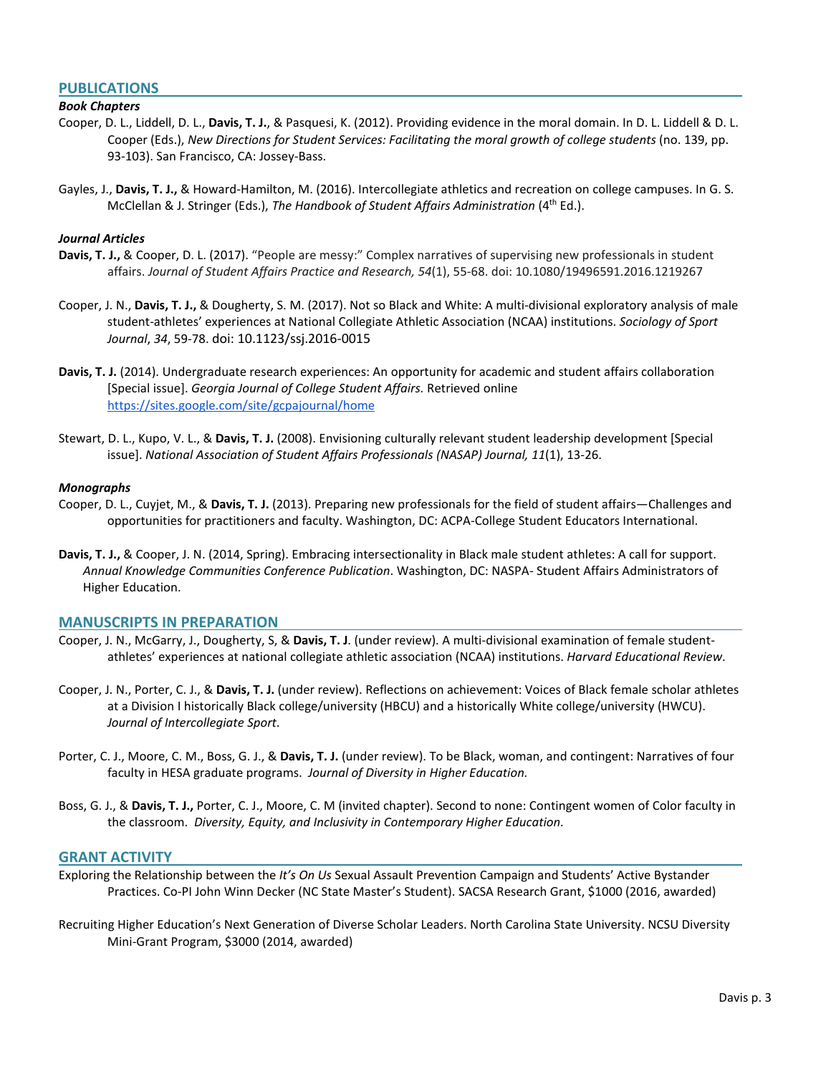# **PUBLICATIONS**

# *Book Chapters*

- Cooper, D. L., Liddell, D. L., **Davis, T. J.**, & Pasquesi, K. (2012). Providing evidence in the moral domain. In D. L. Liddell & D. L. Cooper (Eds.), *New Directions for Student Services: Facilitating the moral growth of college students* (no. 139, pp. 93-103). San Francisco, CA: Jossey-Bass.
- Gayles, J., **Davis, T. J.,** & Howard-Hamilton, M. (2016). Intercollegiate athletics and recreation on college campuses. In G. S. McClellan & J. Stringer (Eds.), *The Handbook of Student Affairs Administration* (4th Ed.).

#### *Journal Articles*

- **Davis, T. J.,** & Cooper, D. L. (2017). "People are messy:" Complex narratives of supervising new professionals in student affairs. *Journal of Student Affairs Practice and Research, 54*(1), 55-68. doi: 10.1080/19496591.2016.1219267
- Cooper, J. N., **Davis, T. J.,** & Dougherty, S. M. (2017). Not so Black and White: A multi-divisional exploratory analysis of male student-athletes' experiences at National Collegiate Athletic Association (NCAA) institutions. *Sociology of Sport Journal*, *34*, 59-78. doi: 10.1123/ssj.2016-0015
- **Davis, T. J.** (2014). Undergraduate research experiences: An opportunity for academic and student affairs collaboration [Special issue]. *Georgia Journal of College Student Affairs.* Retrieved online <https://sites.google.com/site/gcpajournal/home>
- Stewart, D. L., Kupo, V. L., & **Davis, T. J.** (2008). Envisioning culturally relevant student leadership development [Special issue]. *National Association of Student Affairs Professionals (NASAP) Journal, 11*(1), 13-26.

#### *Monographs*

- Cooper, D. L., Cuyjet, M., & **Davis, T. J.** (2013). Preparing new professionals for the field of student affairs—Challenges and opportunities for practitioners and faculty. Washington, DC: ACPA-College Student Educators International.
- **Davis, T. J.,** & Cooper, J. N. (2014, Spring). Embracing intersectionality in Black male student athletes: A call for support. *Annual Knowledge Communities Conference Publication*. Washington, DC: NASPA- Student Affairs Administrators of Higher Education.

#### **MANUSCRIPTS IN PREPARATION**

- Cooper, J. N., McGarry, J., Dougherty, S, & **Davis, T. J**. (under review). A multi-divisional examination of female studentathletes' experiences at national collegiate athletic association (NCAA) institutions. *Harvard Educational Review*.
- Cooper, J. N., Porter, C. J., & **Davis, T. J.** (under review). Reflections on achievement: Voices of Black female scholar athletes at a Division I historically Black college/university (HBCU) and a historically White college/university (HWCU). *Journal of Intercollegiate Sport*.
- Porter, C. J., Moore, C. M., Boss, G. J., & **Davis, T. J.** (under review). To be Black, woman, and contingent: Narratives of four faculty in HESA graduate programs. *Journal of Diversity in Higher Education.*
- Boss, G. J., & **Davis, T. J.,** Porter, C. J., Moore, C. M (invited chapter). Second to none: Contingent women of Color faculty in the classroom. *Diversity, Equity, and Inclusivity in Contemporary Higher Education.*

#### **GRANT ACTIVITY**

- Exploring the Relationship between the *It's On Us* Sexual Assault Prevention Campaign and Students' Active Bystander Practices. Co-PI John Winn Decker (NC State Master's Student). SACSA Research Grant, \$1000 (2016, awarded)
- Recruiting Higher Education's Next Generation of Diverse Scholar Leaders. North Carolina State University. NCSU Diversity Mini-Grant Program, \$3000 (2014, awarded)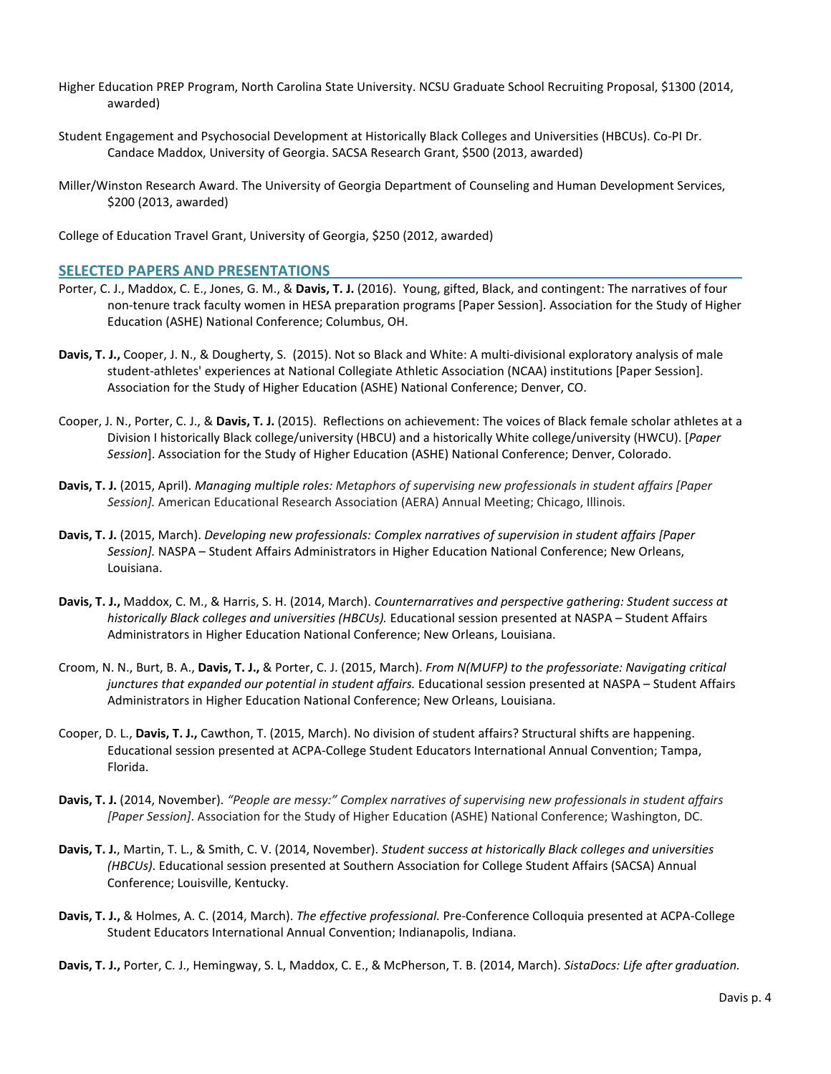- Higher Education PREP Program, North Carolina State University. NCSU Graduate School Recruiting Proposal, \$1300 (2014, awarded)
- Student Engagement and Psychosocial Development at Historically Black Colleges and Universities (HBCUs). Co-PI Dr. Candace Maddox, University of Georgia. SACSA Research Grant, \$500 (2013, awarded)
- Miller/Winston Research Award. The University of Georgia Department of Counseling and Human Development Services, \$200 (2013, awarded)

College of Education Travel Grant, University of Georgia, \$250 (2012, awarded)

# **SELECTED PAPERS AND PRESENTATIONS**

- Porter, C. J., Maddox, C. E., Jones, G. M., & **Davis, T. J.** (2016). Young, gifted, Black, and contingent: The narratives of four non-tenure track faculty women in HESA preparation programs [Paper Session]. Association for the Study of Higher Education (ASHE) National Conference; Columbus, OH.
- **Davis, T. J.,** Cooper, J. N., & Dougherty, S. (2015). Not so Black and White: A multi-divisional exploratory analysis of male student-athletes' experiences at National Collegiate Athletic Association (NCAA) institutions [Paper Session]. Association for the Study of Higher Education (ASHE) National Conference; Denver, CO.
- Cooper, J. N., Porter, C. J., & **Davis, T. J.** (2015). Reflections on achievement: The voices of Black female scholar athletes at a Division I historically Black college/university (HBCU) and a historically White college/university (HWCU). [*Paper Session*]. Association for the Study of Higher Education (ASHE) National Conference; Denver, Colorado.
- **Davis, T. J.** (2015, April). *Managing multiple roles: Metaphors of supervising new professionals in student affairs [Paper Session].* American Educational Research Association (AERA) Annual Meeting; Chicago, Illinois.
- **Davis, T. J.** (2015, March). *Developing new professionals: Complex narratives of supervision in student affairs [Paper Session].* NASPA – Student Affairs Administrators in Higher Education National Conference; New Orleans, Louisiana.
- **Davis, T. J.,** Maddox, C. M., & Harris, S. H. (2014, March). *Counternarratives and perspective gathering: Student success at historically Black colleges and universities (HBCUs).* Educational session presented at NASPA – Student Affairs Administrators in Higher Education National Conference; New Orleans, Louisiana.
- Croom, N. N., Burt, B. A., **Davis, T. J.,** & Porter, C. J. (2015, March). *From N(MUFP) to the professoriate: Navigating critical junctures that expanded our potential in student affairs.* Educational session presented at NASPA – Student Affairs Administrators in Higher Education National Conference; New Orleans, Louisiana.
- Cooper, D. L., **Davis, T. J.,** Cawthon, T. (2015, March). No division of student affairs? Structural shifts are happening. Educational session presented at ACPA-College Student Educators International Annual Convention; Tampa, Florida.
- **Davis, T. J.** (2014, November). *"People are messy:" Complex narratives of supervising new professionals in student affairs [Paper Session]*. Association for the Study of Higher Education (ASHE) National Conference; Washington, DC.
- **Davis, T. J.**, Martin, T. L., & Smith, C. V. (2014, November). *Student success at historically Black colleges and universities (HBCUs)*. Educational session presented at Southern Association for College Student Affairs (SACSA) Annual Conference; Louisville, Kentucky.
- **Davis, T. J.,** & Holmes, A. C. (2014, March). *The effective professional.* Pre-Conference Colloquia presented at ACPA-College Student Educators International Annual Convention; Indianapolis, Indiana.

**Davis, T. J.,** Porter, C. J., Hemingway, S. L, Maddox, C. E., & McPherson, T. B. (2014, March). *SistaDocs: Life after graduation.*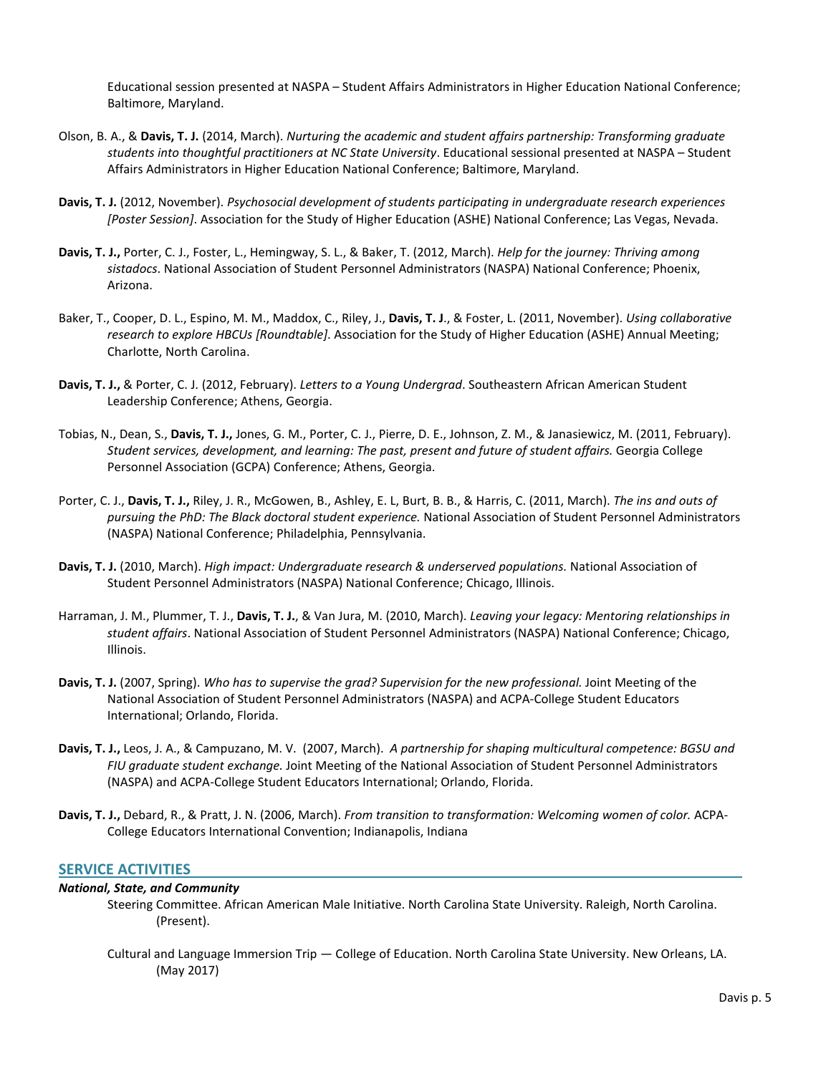Educational session presented at NASPA – Student Affairs Administrators in Higher Education National Conference; Baltimore, Maryland.

- Olson, B. A., & **Davis, T. J.** (2014, March). *Nurturing the academic and student affairs partnership: Transforming graduate students into thoughtful practitioners at NC State University*. Educational sessional presented at NASPA – Student Affairs Administrators in Higher Education National Conference; Baltimore, Maryland.
- **Davis, T. J.** (2012, November). *Psychosocial development of students participating in undergraduate research experiences [Poster Session]*. Association for the Study of Higher Education (ASHE) National Conference; Las Vegas, Nevada.
- **Davis, T. J.,** Porter, C. J., Foster, L., Hemingway, S. L., & Baker, T. (2012, March). *Help for the journey: Thriving among sistadocs*. National Association of Student Personnel Administrators (NASPA) National Conference; Phoenix, Arizona.
- Baker, T., Cooper, D. L., Espino, M. M., Maddox, C., Riley, J., **Davis, T. J**., & Foster, L. (2011, November). *Using collaborative research to explore HBCUs [Roundtable]*. Association for the Study of Higher Education (ASHE) Annual Meeting; Charlotte, North Carolina.
- **Davis, T. J.,** & Porter, C. J. (2012, February). *Letters to a Young Undergrad*. Southeastern African American Student Leadership Conference; Athens, Georgia.
- Tobias, N., Dean, S., **Davis, T. J.,** Jones, G. M., Porter, C. J., Pierre, D. E., Johnson, Z. M., & Janasiewicz, M. (2011, February). *Student services, development, and learning: The past, present and future of student affairs.* Georgia College Personnel Association (GCPA) Conference; Athens, Georgia.
- Porter, C. J., **Davis, T. J.,** Riley, J. R., McGowen, B., Ashley, E. L, Burt, B. B., & Harris, C. (2011, March). *The ins and outs of pursuing the PhD: The Black doctoral student experience.* National Association of Student Personnel Administrators (NASPA) National Conference; Philadelphia, Pennsylvania.
- **Davis, T. J.** (2010, March). *High impact: Undergraduate research & underserved populations.* National Association of Student Personnel Administrators (NASPA) National Conference; Chicago, Illinois.
- Harraman, J. M., Plummer, T. J., **Davis, T. J.**, & Van Jura, M. (2010, March). *Leaving your legacy: Mentoring relationships in student affairs*. National Association of Student Personnel Administrators (NASPA) National Conference; Chicago, Illinois.
- **Davis, T. J.** (2007, Spring). *Who has to supervise the grad? Supervision for the new professional.* Joint Meeting of the National Association of Student Personnel Administrators (NASPA) and ACPA-College Student Educators International; Orlando, Florida.
- **Davis, T. J.,** Leos, J. A., & Campuzano, M. V. (2007, March). *A partnership for shaping multicultural competence: BGSU and FIU graduate student exchange.* Joint Meeting of the National Association of Student Personnel Administrators (NASPA) and ACPA-College Student Educators International; Orlando, Florida.
- **Davis, T. J.,** Debard, R., & Pratt, J. N. (2006, March). *From transition to transformation: Welcoming women of color.* ACPA-College Educators International Convention; Indianapolis, Indiana

# **SERVICE ACTIVITIES**

#### *National, State, and Community*

- Steering Committee. African American Male Initiative. North Carolina State University. Raleigh, North Carolina. (Present).
- Cultural and Language Immersion Trip College of Education. North Carolina State University. New Orleans, LA. (May 2017)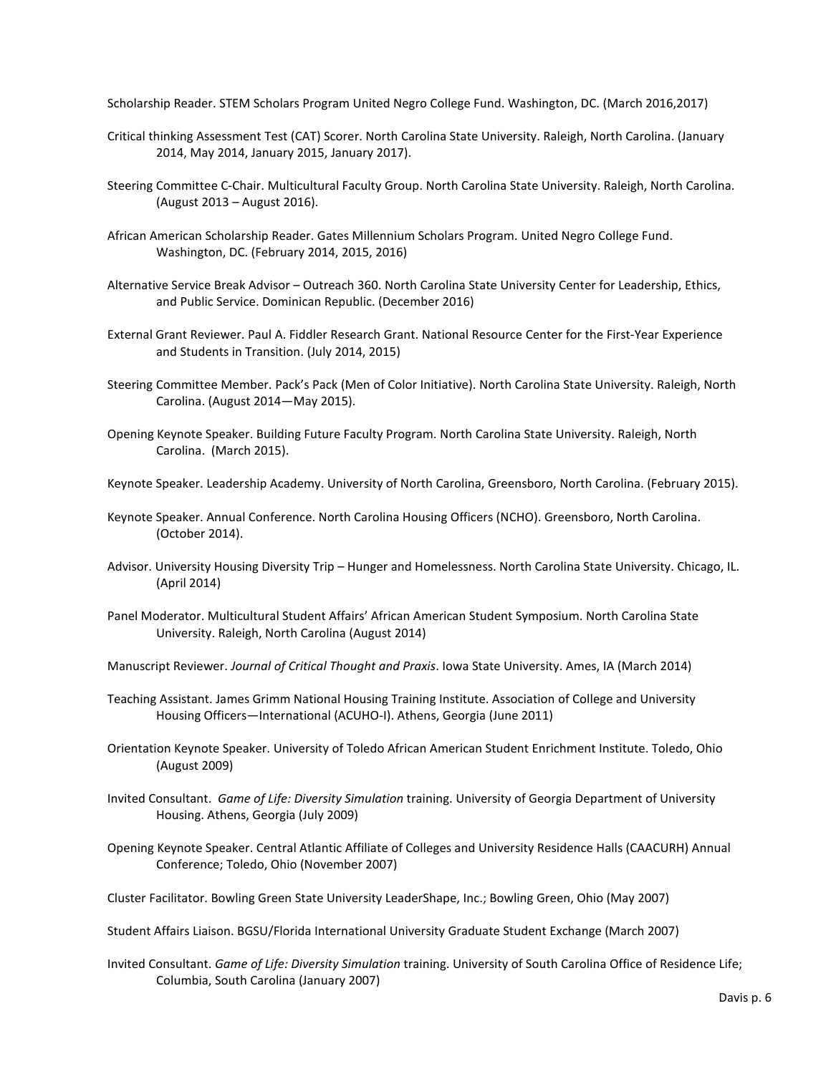Scholarship Reader. STEM Scholars Program United Negro College Fund. Washington, DC. (March 2016,2017)

- Critical thinking Assessment Test (CAT) Scorer. North Carolina State University. Raleigh, North Carolina. (January 2014, May 2014, January 2015, January 2017).
- Steering Committee C-Chair. Multicultural Faculty Group. North Carolina State University. Raleigh, North Carolina. (August 2013 – August 2016).
- African American Scholarship Reader. Gates Millennium Scholars Program. United Negro College Fund. Washington, DC. (February 2014, 2015, 2016)
- Alternative Service Break Advisor Outreach 360. North Carolina State University Center for Leadership, Ethics, and Public Service. Dominican Republic. (December 2016)
- External Grant Reviewer. Paul A. Fiddler Research Grant. National Resource Center for the First-Year Experience and Students in Transition. (July 2014, 2015)
- Steering Committee Member. Pack's Pack (Men of Color Initiative). North Carolina State University. Raleigh, North Carolina. (August 2014—May 2015).
- Opening Keynote Speaker. Building Future Faculty Program. North Carolina State University. Raleigh, North Carolina. (March 2015).
- Keynote Speaker. Leadership Academy. University of North Carolina, Greensboro, North Carolina. (February 2015).
- Keynote Speaker. Annual Conference. North Carolina Housing Officers (NCHO). Greensboro, North Carolina. (October 2014).
- Advisor. University Housing Diversity Trip Hunger and Homelessness. North Carolina State University. Chicago, IL. (April 2014)
- Panel Moderator. Multicultural Student Affairs' African American Student Symposium. North Carolina State University. Raleigh, North Carolina (August 2014)
- Manuscript Reviewer. *Journal of Critical Thought and Praxis*. Iowa State University. Ames, IA (March 2014)
- Teaching Assistant. James Grimm National Housing Training Institute. Association of College and University Housing Officers—International (ACUHO-I). Athens, Georgia (June 2011)
- Orientation Keynote Speaker. University of Toledo African American Student Enrichment Institute. Toledo, Ohio (August 2009)
- Invited Consultant. *Game of Life: Diversity Simulation* training. University of Georgia Department of University Housing. Athens, Georgia (July 2009)
- Opening Keynote Speaker. Central Atlantic Affiliate of Colleges and University Residence Halls (CAACURH) Annual Conference; Toledo, Ohio (November 2007)
- Cluster Facilitator. Bowling Green State University LeaderShape, Inc.; Bowling Green, Ohio (May 2007)
- Student Affairs Liaison. BGSU/Florida International University Graduate Student Exchange (March 2007)
- Invited Consultant. *Game of Life: Diversity Simulation* training. University of South Carolina Office of Residence Life; Columbia, South Carolina (January 2007)